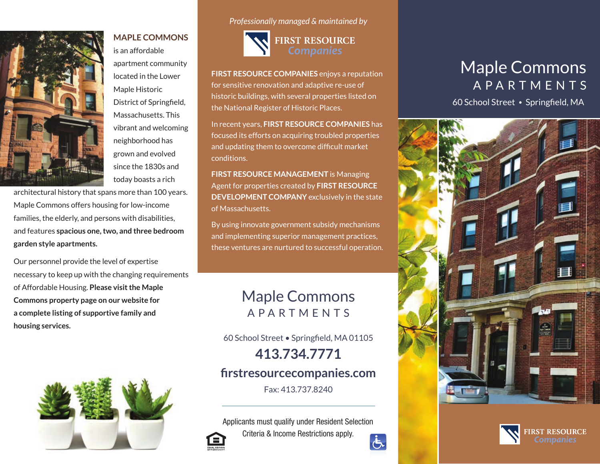

is an affordable apartment community located in the Lower Maple Historic District of Springfield, Massachusetts. This vibrant and welcoming neighborhood has grown and evolved since the 1830s and today boasts a rich

**MAPLE COMMONS** 

architectural history that spans more than 100 years. Maple Commons offers housing for low-income families, the elderly, and persons with disabilities, and features **spacious one, two, and three bedroom garden style apartments.**

Our personnel provide the level of expertise necessary to keep up with the changing requirements of Affordable Housing. **Please visit the Maple Commons property page on our website for a complete listing of supportive family and housing services.**



*Professionally managed & maintained by*



**FIRST RESOURCE COMPANIES** enjoys a reputation for sensitive renovation and adaptive re-use of historic buildings, with several properties listed on the National Register of Historic Places.

In recent years, **FIRST RESOURCE COMPANIES** has focused its efforts on acquiring troubled properties and updating them to overcome difficult market conditions.

**FIRST RESOURCE MANAGEMENT** is Managing Agent for properties created by **FIRST RESOURCE DEVELOPMENT COMPANY** exclusively in the state of Massachusetts.

By using innovate government subsidy mechanisms and implementing superior management practices, these ventures are nurtured to successful operation.

# Maple Commons APARTMENTS

60 School Street • Springfield, MA 01105

**413.734.7771**

# **firstresourcecompanies.com**

Fax: 413.737.8240

Applicants must qualify under Resident Selection Criteria & Income Restrictions apply.  $\overline{G}$ 

# Maple Commons APARTMENTS

60 School Street • Springfield, MA